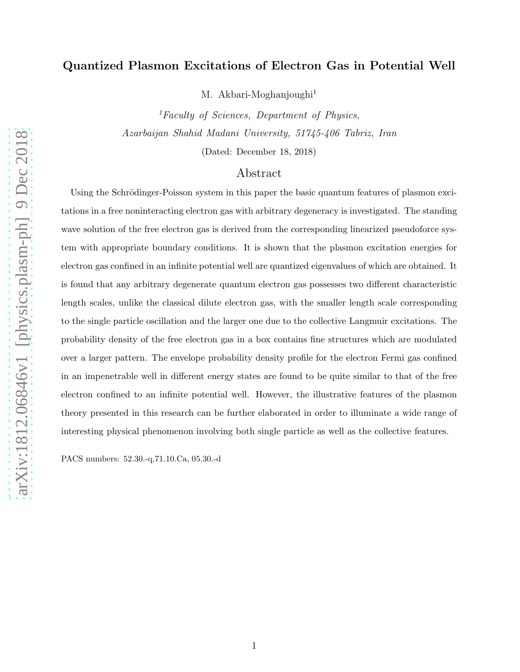# Quantized Plasmon Excitations of Electron Gas in Potential Well

M. Akbari-Moghanjoughi<sup>1</sup>

 ${}^{1}$ Faculty of Sciences, Department of Physics, Azarbaijan Shahid Madani University, 51745-406 Tabriz, Iran

(Dated: December 18, 2018)

# Abstract

Using the Schrödinger-Poisson system in this paper the basic quantum features of plasmon exci-tations in a free noninteracting electron gas with arbitrary degeneracy is investigated. The standing wave solution of the free electron gas is derived from the corresponding linearized pseudoforce system with appropriate boundary conditions. It is shown that the plasmon excitation energies for electron gas confined in an infinite potential well are quantized eigenvalues of which are obtained. It is found that any arbitrary degenerate quantum electron gas possesses two different characteristic length scales, unlike the classical dilute electron gas, with the smaller length scale corresponding to the single particle oscillation and the larger one due to the collective Langmuir excitations. The probability density of the free electron gas in a box contains fine structures which are modulated over a larger pattern. The envelope probability density profile for the electron Fermi gas confined in an impenetrable well in different energy states are found to be quite similar to that of the free electron confined to an infinite potential well. However, the illustrative features of the plasmon theory presented in this research can be further elaborated in order to illuminate a wide range of interesting physical phenomenon involving both single particle as well as the collective features.

PACS numbers: 52.30.-q,71.10.Ca, 05.30.-d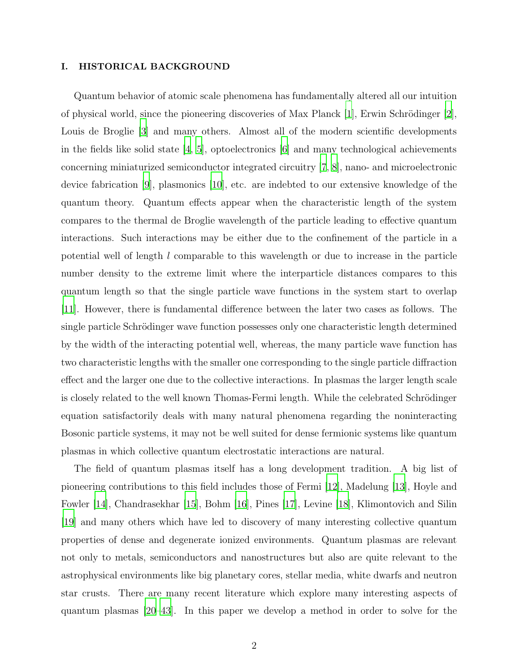### I. HISTORICAL BACKGROUND

Quantum behavior of atomic scale phenomena has fundamentally altered all our intuition of physical world, since the pioneering discoveries of Max Planck  $|1|$ , Erwin Schrödinger  $|2|$ , Louis de Broglie [\[3](#page-10-2)] and many others. Almost all of the modern scientific developments in the fields like solid state [\[4](#page-11-0), [5\]](#page-11-1), optoelectronics [\[6](#page-11-2)] and many technological achievements concerning miniaturized semiconductor integrated circuitry [\[7,](#page-11-3) [8\]](#page-11-4), nano- and microelectronic device fabrication [\[9](#page-11-5)], plasmonics [\[10](#page-11-6)], etc. are indebted to our extensive knowledge of the quantum theory. Quantum effects appear when the characteristic length of the system compares to the thermal de Broglie wavelength of the particle leading to effective quantum interactions. Such interactions may be either due to the confinement of the particle in a potential well of length l comparable to this wavelength or due to increase in the particle number density to the extreme limit where the interparticle distances compares to this quantum length so that the single particle wave functions in the system start to overlap [\[11\]](#page-11-7). However, there is fundamental difference between the later two cases as follows. The single particle Schrödinger wave function possesses only one characteristic length determined by the width of the interacting potential well, whereas, the many particle wave function has two characteristic lengths with the smaller one corresponding to the single particle diffraction effect and the larger one due to the collective interactions. In plasmas the larger length scale is closely related to the well known Thomas-Fermi length. While the celebrated Schrödinger equation satisfactorily deals with many natural phenomena regarding the noninteracting Bosonic particle systems, it may not be well suited for dense fermionic systems like quantum plasmas in which collective quantum electrostatic interactions are natural.

The field of quantum plasmas itself has a long development tradition. A big list of pioneering contributions to this field includes those of Fermi [\[12](#page-11-8)], Madelung [\[13\]](#page-11-9), Hoyle and Fowler [\[14\]](#page-11-10), Chandrasekhar [\[15\]](#page-11-11), Bohm [\[16\]](#page-11-12), Pines [\[17](#page-11-13)], Levine [\[18](#page-11-14)], Klimontovich and Silin [\[19\]](#page-11-15) and many others which have led to discovery of many interesting collective quantum properties of dense and degenerate ionized environments. Quantum plasmas are relevant not only to metals, semiconductors and nanostructures but also are quite relevant to the astrophysical environments like big planetary cores, stellar media, white dwarfs and neutron star crusts. There are many recent literature which explore many interesting aspects of quantum plasmas [\[20](#page-11-16)[–43](#page-12-0)]. In this paper we develop a method in order to solve for the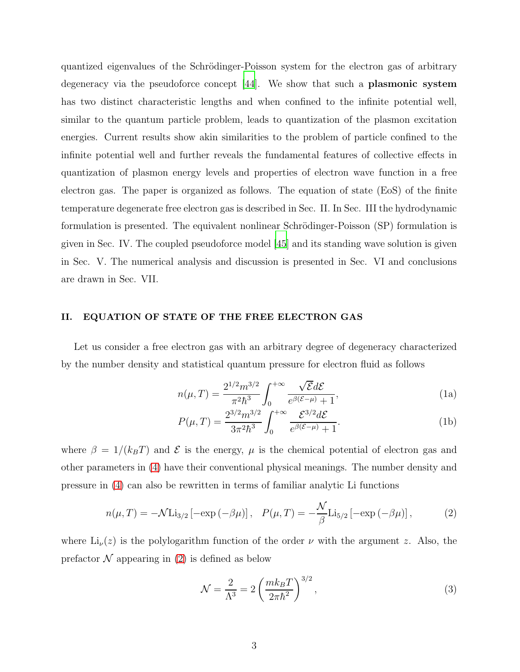quantized eigenvalues of the Schrödinger-Poisson system for the electron gas of arbitrary degeneracy via the pseudoforce concept [\[44](#page-12-1)]. We show that such a plasmonic system has two distinct characteristic lengths and when confined to the infinite potential well, similar to the quantum particle problem, leads to quantization of the plasmon excitation energies. Current results show akin similarities to the problem of particle confined to the infinite potential well and further reveals the fundamental features of collective effects in quantization of plasmon energy levels and properties of electron wave function in a free electron gas. The paper is organized as follows. The equation of state (EoS) of the finite temperature degenerate free electron gas is described in Sec. II. In Sec. III the hydrodynamic formulation is presented. The equivalent nonlinear Schrödinger-Poisson (SP) formulation is given in Sec. IV. The coupled pseudoforce model [\[45](#page-12-2)] and its standing wave solution is given in Sec. V. The numerical analysis and discussion is presented in Sec. VI and conclusions are drawn in Sec. VII.

## II. EQUATION OF STATE OF THE FREE ELECTRON GAS

Let us consider a free electron gas with an arbitrary degree of degeneracy characterized by the number density and statistical quantum pressure for electron fluid as follows

$$
n(\mu, T) = \frac{2^{1/2} m^{3/2}}{\pi^2 \hbar^3} \int_0^{+\infty} \frac{\sqrt{\mathcal{E}} d\mathcal{E}}{e^{\beta(\mathcal{E} - \mu)} + 1},
$$
(1a)

$$
P(\mu, T) = \frac{2^{3/2} m^{3/2}}{3\pi^2 \hbar^3} \int_0^{+\infty} \frac{\mathcal{E}^{3/2} d\mathcal{E}}{e^{\beta(\mathcal{E} - \mu)} + 1}.
$$
 (1b)

where  $\beta = 1/(k_B T)$  and  $\mathcal E$  is the energy,  $\mu$  is the chemical potential of electron gas and other parameters in [\(4\)](#page-3-0) have their conventional physical meanings. The number density and pressure in [\(4\)](#page-3-0) can also be rewritten in terms of familiar analytic Li functions

<span id="page-2-0"></span>
$$
n(\mu, T) = -\mathcal{N} \text{Li}_{3/2} \left[ -\exp\left(-\beta \mu\right) \right], \quad P(\mu, T) = -\frac{\mathcal{N}}{\beta} \text{Li}_{5/2} \left[ -\exp\left(-\beta \mu\right) \right],\tag{2}
$$

where  $Li_{\nu}(z)$  is the polylogarithm function of the order  $\nu$  with the argument z. Also, the prefactor  $\mathcal N$  appearing in [\(2\)](#page-2-0) is defined as below

$$
\mathcal{N} = \frac{2}{\Lambda^3} = 2 \left( \frac{mk_B T}{2\pi\hbar^2} \right)^{3/2},\tag{3}
$$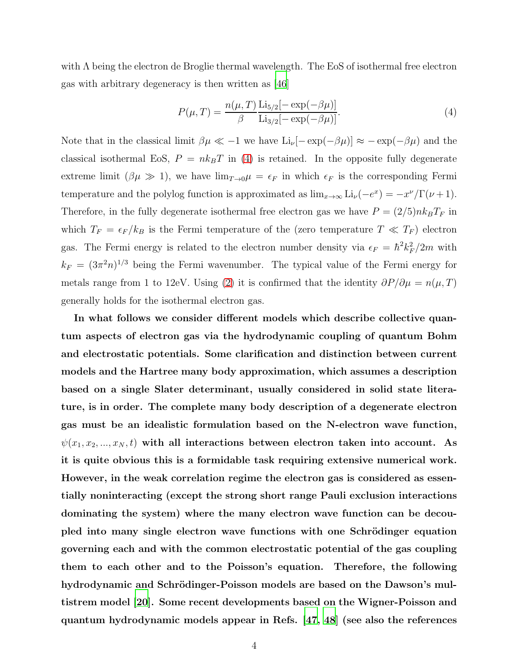with  $\Lambda$  being the electron de Broglie thermal wavelength. The EoS of isothermal free electron gas with arbitrary degeneracy is then written as [\[46\]](#page-12-3)

<span id="page-3-0"></span>
$$
P(\mu, T) = \frac{n(\mu, T)}{\beta} \frac{\text{Li}_{5/2}[-\exp(-\beta \mu)]}{\text{Li}_{3/2}[-\exp(-\beta \mu)]}.
$$
 (4)

Note that in the classical limit  $\beta \mu \ll -1$  we have  $\text{Li}_{\nu}[-\exp(-\beta \mu)] \approx -\exp(-\beta \mu)$  and the classical isothermal EoS,  $P = nk_BT$  in [\(4\)](#page-3-0) is retained. In the opposite fully degenerate extreme limit  $(\beta \mu \gg 1)$ , we have  $\lim_{T\to 0}\mu = \epsilon_F$  in which  $\epsilon_F$  is the corresponding Fermi temperature and the polylog function is approximated as  $\lim_{x\to\infty} \text{Li}_{\nu}(-e^x) = -x^{\nu}/\Gamma(\nu+1)$ . Therefore, in the fully degenerate isothermal free electron gas we have  $P = (2/5) n k_B T_F$  in which  $T_F = \epsilon_F / k_B$  is the Fermi temperature of the (zero temperature  $T \ll T_F$ ) electron gas. The Fermi energy is related to the electron number density via  $\epsilon_F = \hbar^2 k_F^2/2m$  with  $k_F = (3\pi^2 n)^{1/3}$  being the Fermi wavenumber. The typical value of the Fermi energy for metals range from 1 to 12eV. Using [\(2\)](#page-2-0) it is confirmed that the identity  $\partial P/\partial \mu = n(\mu, T)$ generally holds for the isothermal electron gas.

In what follows we consider different models which describe collective quantum aspects of electron gas via the hydrodynamic coupling of quantum Bohm and electrostatic potentials. Some clarification and distinction between current models and the Hartree many body approximation, which assumes a description based on a single Slater determinant, usually considered in solid state literature, is in order. The complete many body description of a degenerate electron gas must be an idealistic formulation based on the N-electron wave function,  $\psi(x_1, x_2, ..., x_N, t)$  with all interactions between electron taken into account. As it is quite obvious this is a formidable task requiring extensive numerical work. However, in the weak correlation regime the electron gas is considered as essentially noninteracting (except the strong short range Pauli exclusion interactions dominating the system) where the many electron wave function can be decoupled into many single electron wave functions with one Schrödinger equation governing each and with the common electrostatic potential of the gas coupling them to each other and to the Poisson's equation. Therefore, the following hydrodynamic and Schrödinger-Poisson models are based on the Dawson's multistrem model [\[20](#page-11-16)]. Some recent developments based on the Wigner-Poisson and quantum hydrodynamic models appear in Refs. [\[47,](#page-12-4) [48](#page-12-5)] (see also the references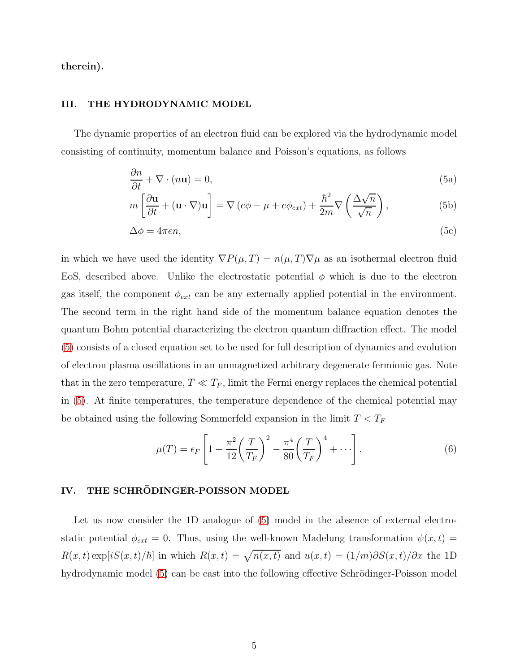therein).

### III. THE HYDRODYNAMIC MODEL

The dynamic properties of an electron fluid can be explored via the hydrodynamic model consisting of continuity, momentum balance and Poisson's equations, as follows

<span id="page-4-0"></span>
$$
\frac{\partial n}{\partial t} + \nabla \cdot (n\mathbf{u}) = 0,\tag{5a}
$$

$$
m\left[\frac{\partial \mathbf{u}}{\partial t} + (\mathbf{u} \cdot \nabla) \mathbf{u}\right] = \nabla \left(e\phi - \mu + e\phi_{ext}\right) + \frac{\hbar^2}{2m} \nabla \left(\frac{\Delta \sqrt{n}}{\sqrt{n}}\right),\tag{5b}
$$

$$
\Delta \phi = 4\pi en,\tag{5c}
$$

in which we have used the identity  $\nabla P(\mu, T) = n(\mu, T)\nabla \mu$  as an isothermal electron fluid EoS, described above. Unlike the electrostatic potential  $\phi$  which is due to the electron gas itself, the component  $\phi_{ext}$  can be any externally applied potential in the environment. The second term in the right hand side of the momentum balance equation denotes the quantum Bohm potential characterizing the electron quantum diffraction effect. The model [\(5\)](#page-4-0) consists of a closed equation set to be used for full description of dynamics and evolution of electron plasma oscillations in an unmagnetized arbitrary degenerate fermionic gas. Note that in the zero temperature,  $T \ll T_F$ , limit the Fermi energy replaces the chemical potential in [\(5\)](#page-4-0). At finite temperatures, the temperature dependence of the chemical potential may be obtained using the following Sommerfeld expansion in the limit  $T < T_F$ 

$$
\mu(T) = \epsilon_F \left[ 1 - \frac{\pi^2}{12} \left( \frac{T}{T_F} \right)^2 - \frac{\pi^4}{80} \left( \frac{T}{T_F} \right)^4 + \cdots \right].
$$
\n(6)

# IV. THE SCHRÖDINGER-POISSON MODEL

Let us now consider the 1D analogue of [\(5\)](#page-4-0) model in the absence of external electrostatic potential  $\phi_{ext} = 0$ . Thus, using the well-known Madelung transformation  $\psi(x, t) =$  $R(x,t) \exp[iS(x,t)/\hbar]$  in which  $R(x,t) = \sqrt{n(x,t)}$  and  $u(x,t) = (1/m)\partial S(x,t)/\partial x$  the 1D hydrodynamic model [\(5\)](#page-4-0) can be cast into the following effective Schrödinger-Poisson model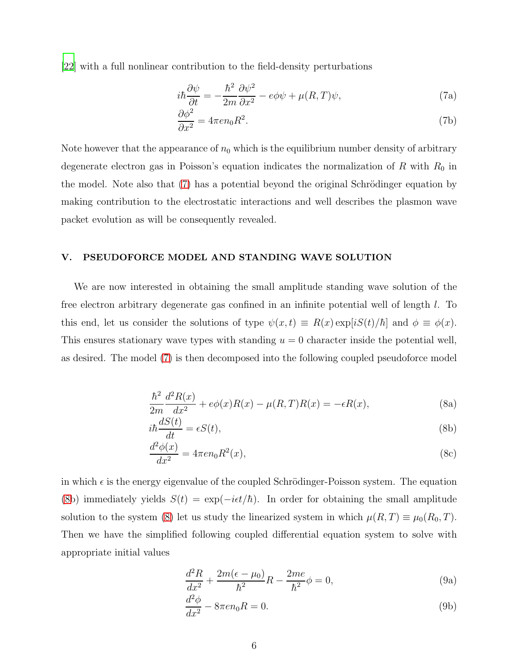[\[22\]](#page-11-17) with a full nonlinear contribution to the field-density perturbations

<span id="page-5-0"></span>
$$
i\hbar \frac{\partial \psi}{\partial t} = -\frac{\hbar^2}{2m} \frac{\partial \psi^2}{\partial x^2} - e\phi \psi + \mu(R, T)\psi,
$$
\n(7a)

$$
\frac{\partial \phi^2}{\partial x^2} = 4\pi e n_0 R^2. \tag{7b}
$$

Note however that the appearance of  $n_0$  which is the equilibrium number density of arbitrary degenerate electron gas in Poisson's equation indicates the normalization of R with  $R_0$  in the model. Note also that [\(7\)](#page-5-0) has a potential beyond the original Schrödinger equation by making contribution to the electrostatic interactions and well describes the plasmon wave packet evolution as will be consequently revealed.

### V. PSEUDOFORCE MODEL AND STANDING WAVE SOLUTION

<span id="page-5-1"></span>We are now interested in obtaining the small amplitude standing wave solution of the free electron arbitrary degenerate gas confined in an infinite potential well of length l. To this end, let us consider the solutions of type  $\psi(x,t) \equiv R(x) \exp[iS(t)/\hbar]$  and  $\phi \equiv \phi(x)$ . This ensures stationary wave types with standing  $u = 0$  character inside the potential well, as desired. The model [\(7\)](#page-5-0) is then decomposed into the following coupled pseudoforce model

$$
\frac{\hbar^2}{2m}\frac{d^2R(x)}{dx^2} + e\phi(x)R(x) - \mu(R,T)R(x) = -\epsilon R(x),\tag{8a}
$$

$$
i\hbar \frac{dS(t)}{dt} = \epsilon S(t),\tag{8b}
$$

$$
\frac{d^2\phi(x)}{dx^2} = 4\pi en_0 R^2(x),\tag{8c}
$$

in which  $\epsilon$  is the energy eigenvalue of the coupled Schrödinger-Poisson system. The equation [\(8b](#page-5-1)) immediately yields  $S(t) = \exp(-i\epsilon t/\hbar)$ . In order for obtaining the small amplitude solution to the system [\(8\)](#page-5-1) let us study the linearized system in which  $\mu(R, T) \equiv \mu_0(R_0, T)$ . Then we have the simplified following coupled differential equation system to solve with appropriate initial values

<span id="page-5-2"></span>
$$
\frac{d^2R}{dx^2} + \frac{2m(\epsilon - \mu_0)}{\hbar^2}R - \frac{2me}{\hbar^2}\phi = 0,
$$
\n(9a)

$$
\frac{d^2\phi}{dx^2} - 8\pi en_0 R = 0.
$$
\n(9b)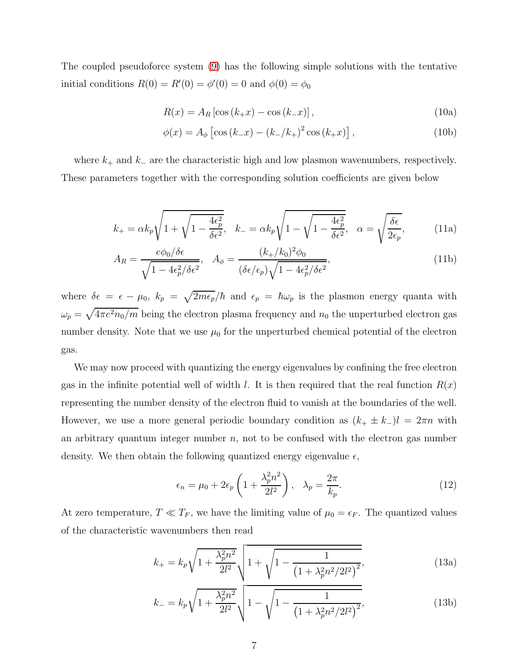The coupled pseudoforce system [\(9\)](#page-5-2) has the following simple solutions with the tentative initial conditions  $R(0) = R'(0) = \phi'(0) = 0$  and  $\phi(0) = \phi_0$ 

<span id="page-6-0"></span>
$$
R(x) = A_R \left[ \cos \left( k_+ x \right) - \cos \left( k_- x \right) \right],\tag{10a}
$$

$$
\phi(x) = A_{\phi} \left[ \cos \left( k \_{ x} \right) - \left( k \_{ / k_{ +}} \right)^{2} \cos \left( k \_{ x} \right) \right],\tag{10b}
$$

where  $k_{+}$  and  $k_{-}$  are the characteristic high and low plasmon wavenumbers, respectively. These parameters together with the corresponding solution coefficients are given below

$$
k_{+} = \alpha k_{p} \sqrt{1 + \sqrt{1 - \frac{4\epsilon_{p}^{2}}{\delta \epsilon^{2}}}}, \quad k_{-} = \alpha k_{p} \sqrt{1 - \sqrt{1 - \frac{4\epsilon_{p}^{2}}{\delta \epsilon^{2}}}}, \quad \alpha = \sqrt{\frac{\delta \epsilon}{2\epsilon_{p}}}, \quad (11a)
$$

$$
A_R = \frac{e\phi_0/\delta\epsilon}{\sqrt{1 - 4\epsilon_p^2/\delta\epsilon^2}}, \quad A_\phi = \frac{(k_+/k_0)^2\phi_0}{(\delta\epsilon/\epsilon_p)\sqrt{1 - 4\epsilon_p^2/\delta\epsilon^2}},\tag{11b}
$$

where  $\delta \epsilon = \epsilon - \mu_0$ ,  $k_p = \sqrt{2m\epsilon_p}/\hbar$  and  $\epsilon_p = \hbar \omega_p$  is the plasmon energy quanta with  $\omega_p = \sqrt{4\pi e^2 n_0/m}$  being the electron plasma frequency and  $n_0$  the unperturbed electron gas number density. Note that we use  $\mu_0$  for the unperturbed chemical potential of the electron gas.

We may now proceed with quantizing the energy eigenvalues by confining the free electron gas in the infinite potential well of width l. It is then required that the real function  $R(x)$ representing the number density of the electron fluid to vanish at the boundaries of the well. However, we use a more general periodic boundary condition as  $(k_+ \pm k_-)l = 2\pi n$  with an arbitrary quantum integer number  $n$ , not to be confused with the electron gas number density. We then obtain the following quantized energy eigenvalue  $\epsilon$ ,

$$
\epsilon_n = \mu_0 + 2\epsilon_p \left( 1 + \frac{\lambda_p^2 n^2}{2l^2} \right), \quad \lambda_p = \frac{2\pi}{k_p}.
$$
 (12)

At zero temperature,  $T \ll T_F$ , we have the limiting value of  $\mu_0 = \epsilon_F$ . The quantized values of the characteristic wavenumbers then read

$$
k_{+} = k_{p} \sqrt{1 + \frac{\lambda_{p}^{2} n^{2}}{2l^{2}}} \sqrt{1 + \sqrt{1 - \frac{1}{\left(1 + \lambda_{p}^{2} n^{2} / 2l^{2}\right)^{2}}}},
$$
\n(13a)

$$
k_{-} = k_{p} \sqrt{1 + \frac{\lambda_{p}^{2} n^{2}}{2l^{2}} \sqrt{1 - \frac{1}{\left(1 + \lambda_{p}^{2} n^{2} / 2l^{2}\right)^{2}}}},
$$
\n(13b)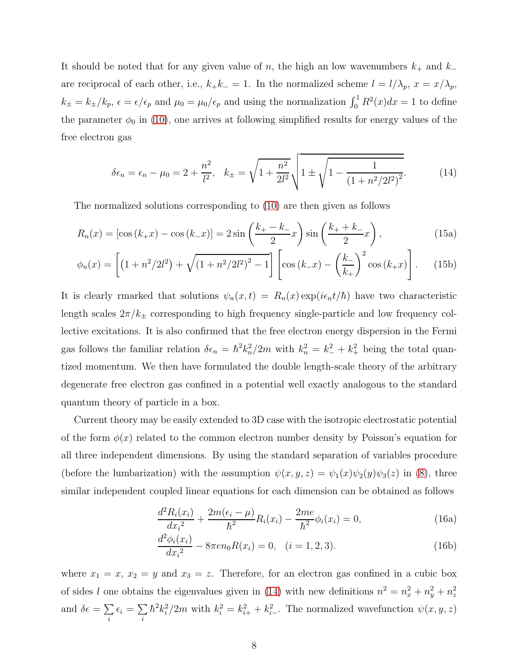It should be noted that for any given value of n, the high an low wavenumbers  $k_+$  and  $k_−$ are reciprocal of each other, i.e.,  $k_+k_-=1$ . In the normalized scheme  $l = l/\lambda_p$ ,  $x = x/\lambda_p$ ,  $k_{\pm} = k_{\pm}/k_p$ ,  $\epsilon = \epsilon/\epsilon_p$  and  $\mu_0 = \mu_0/\epsilon_p$  and using the normalization  $\int_0^1 R^2(x)dx = 1$  to define the parameter  $\phi_0$  in [\(10\)](#page-6-0), one arrives at following simplified results for energy values of the free electron gas

<span id="page-7-0"></span>
$$
\delta \epsilon_n = \epsilon_n - \mu_0 = 2 + \frac{n^2}{l^2}, \quad k_{\pm} = \sqrt{1 + \frac{n^2}{2l^2}} \sqrt{1 \pm \sqrt{1 - \frac{1}{(1 + n^2/2l^2)^2}}}.
$$
(14)

The normalized solutions corresponding to [\(10\)](#page-6-0) are then given as follows

$$
R_n(x) = [\cos (k_+ x) - \cos (k_- x)] = 2 \sin \left(\frac{k_+ - k_-}{2} x\right) \sin \left(\frac{k_+ + k_-}{2} x\right),\tag{15a}
$$

$$
\phi_n(x) = \left[ \left( 1 + n^2 / 2l^2 \right) + \sqrt{\left( 1 + n^2 / 2l^2 \right)^2 - 1} \right] \left[ \cos \left( k \right) - \left( \frac{k}{k_+} \right)^2 \cos \left( k_+ x \right) \right]. \tag{15b}
$$

It is clearly rmarked that solutions  $\psi_n(x,t) = R_n(x) \exp(i\epsilon_n t/\hbar)$  have two characteristic length scales  $2\pi/k_{\pm}$  corresponding to high frequency single-particle and low frequency collective excitations. It is also confirmed that the free electron energy dispersion in the Fermi gas follows the familiar relation  $\delta \epsilon_n = \hbar^2 k_n^2 / 2m$  with  $k_n^2 = k_-^2 + k_+^2$  being the total quantized momentum. We then have formulated the double length-scale theory of the arbitrary degenerate free electron gas confined in a potential well exactly analogous to the standard quantum theory of particle in a box.

Current theory may be easily extended to 3D case with the isotropic electrostatic potential of the form  $\phi(x)$  related to the common electron number density by Poisson's equation for all three independent dimensions. By using the standard separation of variables procedure (before the lumbarization) with the assumption  $\psi(x, y, z) = \psi_1(x)\psi_2(y)\psi_3(z)$  in [\(8\)](#page-5-1), three similar independent coupled linear equations for each dimension can be obtained as follows

$$
\frac{d^2 R_i(x_i)}{dx_i^2} + \frac{2m(\epsilon_i - \mu)}{\hbar^2} R_i(x_i) - \frac{2me}{\hbar^2} \phi_i(x_i) = 0,
$$
\n(16a)

$$
\frac{d^2\phi_i(x_i)}{dx_i^2} - 8\pi en_0 R(x_i) = 0, \quad (i = 1, 2, 3).
$$
 (16b)

where  $x_1 = x$ ,  $x_2 = y$  and  $x_3 = z$ . Therefore, for an electron gas confined in a cubic box of sides l one obtains the eigenvalues given in [\(14\)](#page-7-0) with new definitions  $n^2 = n_x^2 + n_y^2 + n_z^2$ and  $\delta \epsilon = \sum$ i  $\epsilon_i = \sum$ i  $\hbar^2 k_i^2/2m$  with  $k_i^2 = k_{i+}^2 + k_{i-}^2$ . The normalized wavefunction  $\psi(x, y, z)$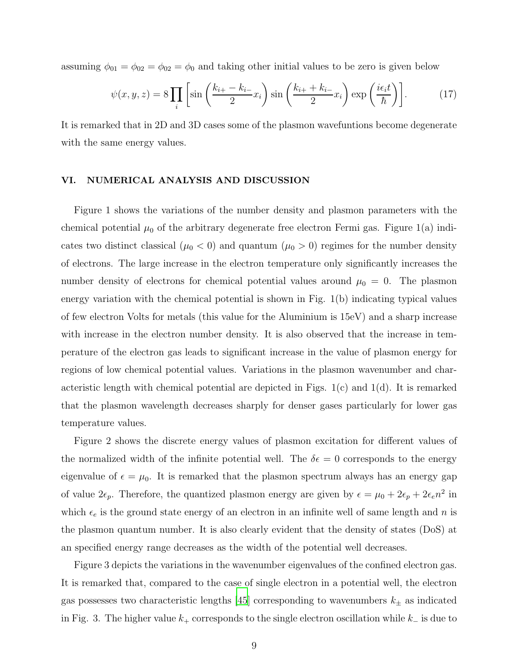assuming  $\phi_{01} = \phi_{02} = \phi_{02} = \phi_0$  and taking other initial values to be zero is given below

$$
\psi(x, y, z) = 8 \prod_{i} \left[ \sin \left( \frac{k_{i+} - k_{i-}}{2} x_i \right) \sin \left( \frac{k_{i+} + k_{i-}}{2} x_i \right) \exp \left( \frac{i \epsilon_i t}{\hbar} \right) \right]. \tag{17}
$$

It is remarked that in 2D and 3D cases some of the plasmon wavefuntions become degenerate with the same energy values.

### VI. NUMERICAL ANALYSIS AND DISCUSSION

Figure 1 shows the variations of the number density and plasmon parameters with the chemical potential  $\mu_0$  of the arbitrary degenerate free electron Fermi gas. Figure 1(a) indicates two distinct classical ( $\mu_0 < 0$ ) and quantum ( $\mu_0 > 0$ ) regimes for the number density of electrons. The large increase in the electron temperature only significantly increases the number density of electrons for chemical potential values around  $\mu_0 = 0$ . The plasmon energy variation with the chemical potential is shown in Fig. 1(b) indicating typical values of few electron Volts for metals (this value for the Aluminium is 15eV) and a sharp increase with increase in the electron number density. It is also observed that the increase in temperature of the electron gas leads to significant increase in the value of plasmon energy for regions of low chemical potential values. Variations in the plasmon wavenumber and characteristic length with chemical potential are depicted in Figs.  $1(c)$  and  $1(d)$ . It is remarked that the plasmon wavelength decreases sharply for denser gases particularly for lower gas temperature values.

Figure 2 shows the discrete energy values of plasmon excitation for different values of the normalized width of the infinite potential well. The  $\delta \epsilon = 0$  corresponds to the energy eigenvalue of  $\epsilon = \mu_0$ . It is remarked that the plasmon spectrum always has an energy gap of value  $2\epsilon_p$ . Therefore, the quantized plasmon energy are given by  $\epsilon = \mu_0 + 2\epsilon_p + 2\epsilon_e n^2$  in which  $\epsilon_e$  is the ground state energy of an electron in an infinite well of same length and n is the plasmon quantum number. It is also clearly evident that the density of states (DoS) at an specified energy range decreases as the width of the potential well decreases.

Figure 3 depicts the variations in the wavenumber eigenvalues of the confined electron gas. It is remarked that, compared to the case of single electron in a potential well, the electron gas possesses two characteristic lengths [\[45\]](#page-12-2) corresponding to wavenumbers  $k_{\pm}$  as indicated in Fig. 3. The higher value  $k_+$  corresponds to the single electron oscillation while  $k_-\$  is due to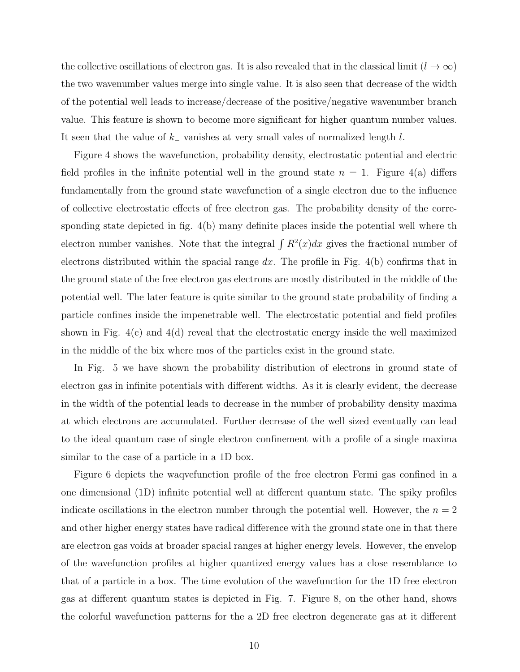the collective oscillations of electron gas. It is also revealed that in the classical limit ( $l \to \infty$ ) the two wavenumber values merge into single value. It is also seen that decrease of the width of the potential well leads to increase/decrease of the positive/negative wavenumber branch value. This feature is shown to become more significant for higher quantum number values. It seen that the value of  $k_-\$  vanishes at very small vales of normalized length l.

Figure 4 shows the wavefunction, probability density, electrostatic potential and electric field profiles in the infinite potential well in the ground state  $n = 1$ . Figure 4(a) differs fundamentally from the ground state wavefunction of a single electron due to the influence of collective electrostatic effects of free electron gas. The probability density of the corresponding state depicted in fig. 4(b) many definite places inside the potential well where th electron number vanishes. Note that the integral  $\int R^2(x)dx$  gives the fractional number of electrons distributed within the spacial range dx. The profile in Fig.  $4(b)$  confirms that in the ground state of the free electron gas electrons are mostly distributed in the middle of the potential well. The later feature is quite similar to the ground state probability of finding a particle confines inside the impenetrable well. The electrostatic potential and field profiles shown in Fig. 4(c) and 4(d) reveal that the electrostatic energy inside the well maximized in the middle of the bix where mos of the particles exist in the ground state.

In Fig. 5 we have shown the probability distribution of electrons in ground state of electron gas in infinite potentials with different widths. As it is clearly evident, the decrease in the width of the potential leads to decrease in the number of probability density maxima at which electrons are accumulated. Further decrease of the well sized eventually can lead to the ideal quantum case of single electron confinement with a profile of a single maxima similar to the case of a particle in a 1D box.

Figure 6 depicts the waqvefunction profile of the free electron Fermi gas confined in a one dimensional (1D) infinite potential well at different quantum state. The spiky profiles indicate oscillations in the electron number through the potential well. However, the  $n = 2$ and other higher energy states have radical difference with the ground state one in that there are electron gas voids at broader spacial ranges at higher energy levels. However, the envelop of the wavefunction profiles at higher quantized energy values has a close resemblance to that of a particle in a box. The time evolution of the wavefunction for the 1D free electron gas at different quantum states is depicted in Fig. 7. Figure 8, on the other hand, shows the colorful wavefunction patterns for the a 2D free electron degenerate gas at it different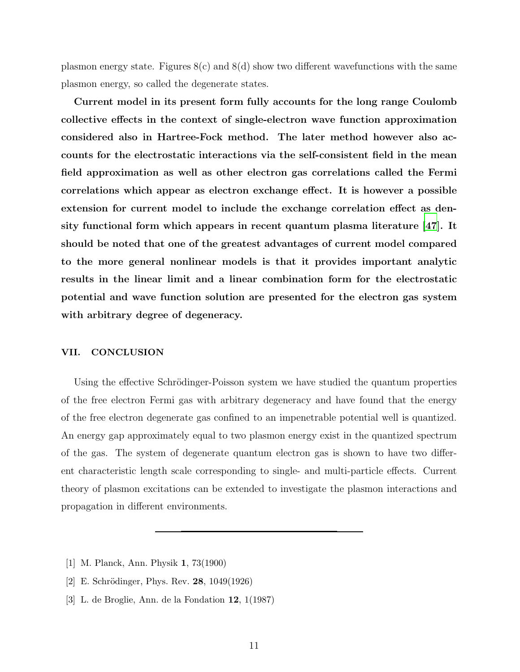plasmon energy state. Figures  $8(c)$  and  $8(d)$  show two different wavefunctions with the same plasmon energy, so called the degenerate states.

Current model in its present form fully accounts for the long range Coulomb collective effects in the context of single-electron wave function approximation considered also in Hartree-Fock method. The later method however also accounts for the electrostatic interactions via the self-consistent field in the mean field approximation as well as other electron gas correlations called the Fermi correlations which appear as electron exchange effect. It is however a possible extension for current model to include the exchange correlation effect as density functional form which appears in recent quantum plasma literature [\[47\]](#page-12-4). It should be noted that one of the greatest advantages of current model compared to the more general nonlinear models is that it provides important analytic results in the linear limit and a linear combination form for the electrostatic potential and wave function solution are presented for the electron gas system with arbitrary degree of degeneracy.

### VII. CONCLUSION

Using the effective Schrödinger-Poisson system we have studied the quantum properties of the free electron Fermi gas with arbitrary degeneracy and have found that the energy of the free electron degenerate gas confined to an impenetrable potential well is quantized. An energy gap approximately equal to two plasmon energy exist in the quantized spectrum of the gas. The system of degenerate quantum electron gas is shown to have two different characteristic length scale corresponding to single- and multi-particle effects. Current theory of plasmon excitations can be extended to investigate the plasmon interactions and propagation in different environments.

- <span id="page-10-0"></span>[1] M. Planck, Ann. Physik 1, 73(1900)
- <span id="page-10-1"></span>[2] E. Schrödinger, Phys. Rev.  $28, 1049(1926)$
- <span id="page-10-2"></span>[3] L. de Broglie, Ann. de la Fondation 12, 1(1987)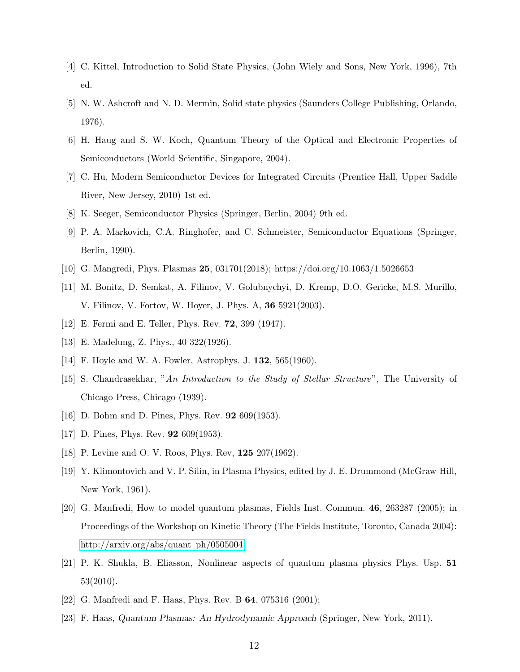- <span id="page-11-0"></span>[4] C. Kittel, Introduction to Solid State Physics, (John Wiely and Sons, New York, 1996), 7th ed.
- <span id="page-11-1"></span>[5] N. W. Ashcroft and N. D. Mermin, Solid state physics (Saunders College Publishing, Orlando, 1976).
- <span id="page-11-2"></span>[6] H. Haug and S. W. Koch, Quantum Theory of the Optical and Electronic Properties of Semiconductors (World Scientific, Singapore, 2004).
- <span id="page-11-3"></span>[7] C. Hu, Modern Semiconductor Devices for Integrated Circuits (Prentice Hall, Upper Saddle River, New Jersey, 2010) 1st ed.
- <span id="page-11-5"></span><span id="page-11-4"></span>[8] K. Seeger, Semiconductor Physics (Springer, Berlin, 2004) 9th ed.
- [9] P. A. Markovich, C.A. Ringhofer, and C. Schmeister, Semiconductor Equations (Springer, Berlin, 1990).
- <span id="page-11-7"></span><span id="page-11-6"></span>[10] G. Mangredi, Phys. Plasmas 25, 031701(2018); https://doi.org/10.1063/1.5026653
- [11] M. Bonitz, D. Semkat, A. Filinov, V. Golubnychyi, D. Kremp, D.O. Gericke, M.S. Murillo, V. Filinov, V. Fortov, W. Hoyer, J. Phys. A, 36 5921(2003).
- <span id="page-11-8"></span>[12] E. Fermi and E. Teller, Phys. Rev. 72, 399 (1947).
- <span id="page-11-10"></span><span id="page-11-9"></span>[13] E. Madelung, Z. Phys., 40 322(1926).
- [14] F. Hoyle and W. A. Fowler, Astrophys. J. **132**, 565(1960).
- <span id="page-11-11"></span>[15] S. Chandrasekhar, "An Introduction to the Study of Stellar Structure", The University of Chicago Press, Chicago (1939).
- <span id="page-11-12"></span>[16] D. Bohm and D. Pines, Phys. Rev. 92 609(1953).
- <span id="page-11-13"></span>[17] D. Pines, Phys. Rev. **92** 609(1953).
- <span id="page-11-14"></span>[18] P. Levine and O. V. Roos, Phys. Rev, **125** 207(1962).
- <span id="page-11-15"></span>[19] Y. Klimontovich and V. P. Silin, in Plasma Physics, edited by J. E. Drummond (McGraw-Hill, New York, 1961).
- <span id="page-11-16"></span>[20] G. Manfredi, How to model quantum plasmas, Fields Inst. Commun. 46, 263287 (2005); in Proceedings of the Workshop on Kinetic Theory (The Fields Institute, Toronto, Canada 2004): [http://arxiv.org/abs/quant–ph/0505004.](http://arxiv.org/abs/quant--ph/0505004)
- [21] P. K. Shukla, B. Eliasson, Nonlinear aspects of quantum plasma physics Phys. Usp. 51 53(2010).
- <span id="page-11-17"></span>[22] G. Manfredi and F. Haas, Phys. Rev. B **64**, 075316 (2001);
- [23] F. Haas, Quantum Plasmas: An Hydrodynamic Approach (Springer, New York, 2011).